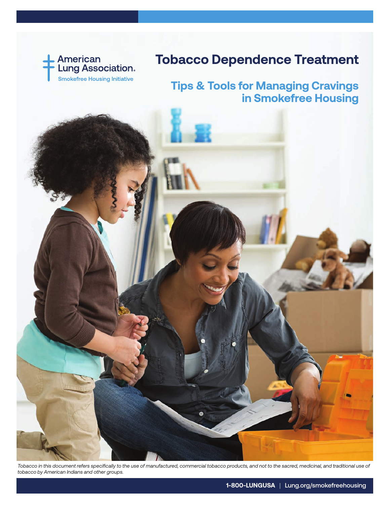

## **Tobacco Dependence Treatment**

## **Tips & Tools for Managing Cravings in Smokefree Housing**

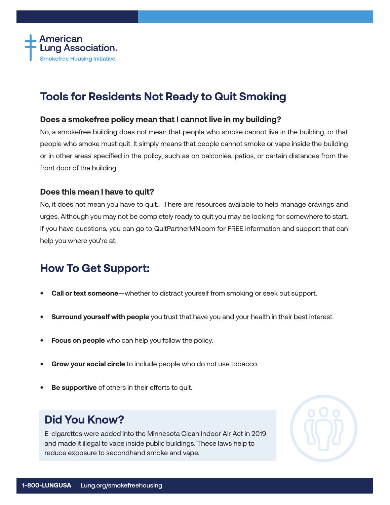

## **Tools for Residents Not Ready to Quit Smoking**

#### **Does a smokefree policy mean that I cannot live in my building?**

No, a smokefree building does not mean that people who smoke cannot live in the building, or that people who smoke must quit. It simply means that people cannot smoke or vape inside the building or in other areas specified in the policy, such as on balconies, patios, or certain distances from the front door of the building.

#### **Does this mean I have to quit?**

No, it does not mean you have to quit.. There are resources available to help manage cravings and urges. Although you may not be completely ready to quit you may be looking for somewhere to start. If you have questions, you can go to QuitPartnerMN.com for FREE information and support that can help you where you're at.

## **How To Get Support:**

- **• Call or text someone**—whether to distract yourself from smoking or seek out support.
- **• Surround yourself with people** you trust that have you and your health in their best interest.
- **• Focus on people** who can help you follow the policy.
- **• Grow your social circle** to include people who do not use tobacco.
- **• Be supportive** of others in their efforts to quit.

## **Did You Know?**

E-cigarettes were added into the Minnesota Clean Indoor Air Act in 2019 and made it illegal to vape inside public buildings. These laws help to reduce exposure to secondhand smoke and vape.

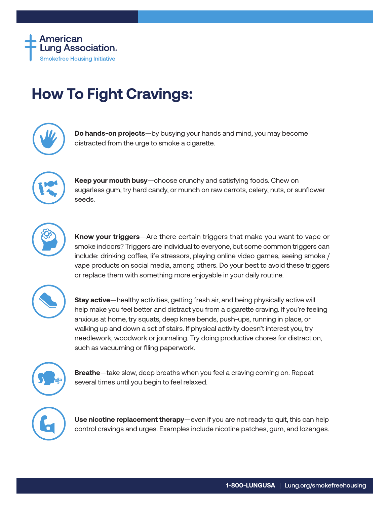

# **How To Fight Cravings:**



**Do hands-on projects**—by busying your hands and mind, you may become distracted from the urge to smoke a cigarette.



**Keep your mouth busy**—choose crunchy and satisfying foods. Chew on sugarless gum, try hard candy, or munch on raw carrots, celery, nuts, or sunflower seeds.



**Know your triggers**—Are there certain triggers that make you want to vape or smoke indoors? Triggers are individual to everyone, but some common triggers can include: drinking coffee, life stressors, playing online video games, seeing smoke / vape products on social media, among others. Do your best to avoid these triggers or replace them with something more enjoyable in your daily routine.



**Stay active**—healthy activities, getting fresh air, and being physically active will help make you feel better and distract you from a cigarette craving. If you're feeling anxious at home, try squats, deep knee bends, push-ups, running in place, or walking up and down a set of stairs. If physical activity doesn't interest you, try needlework, woodwork or journaling. Try doing productive chores for distraction, such as vacuuming or filing paperwork.



**Breathe**—take slow, deep breaths when you feel a craving coming on. Repeat several times until you begin to feel relaxed.



**Use nicotine replacement therapy**—even if you are not ready to quit, this can help control cravings and urges. Examples include nicotine patches, gum, and lozenges.